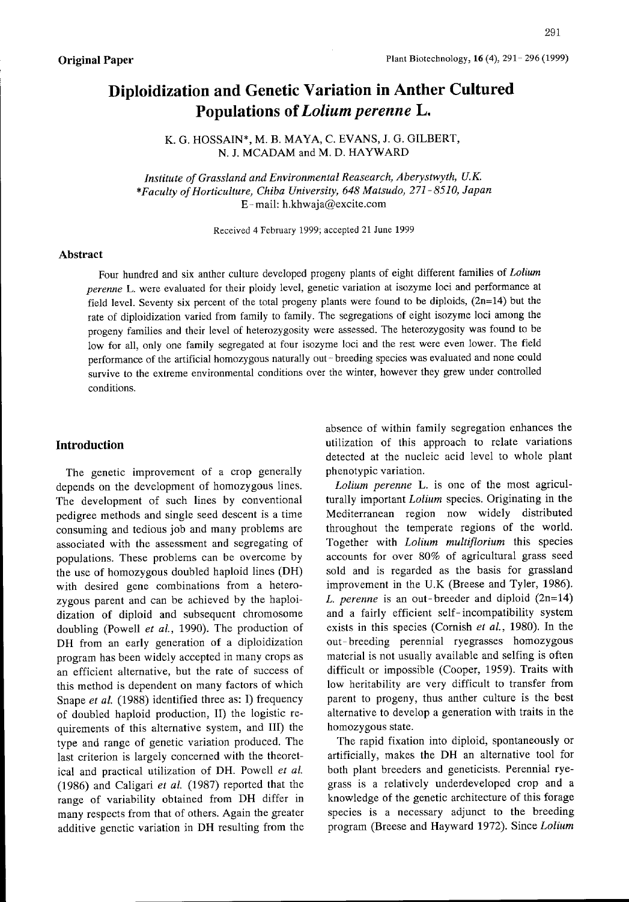# Diploidization and Genetic Variation in Anther Cultured Populations of Lolium perenne L.

K. G. HOSSAIN\*, M. B. MAYA, C. EVANS, J. G. GILBERT, N. J. MCADAM and M. D. HAYWARD

Institute of Grassland and Environmental Reasearch, Aberystwyth, U.K. \*Faculty of Horticulture, Chiba University, 648 Matsudo, 271-8510, Japan E-mail: h.khwaja@excite.com

Received 4February 1999; accepted 21 June 1999

#### Abstract

Four hundred and six anther culture developed progeny plants of eight different families of Lolium perenne L. were evaluated for their ploidy level, genetic variation at isozyme loci and performance at field level. Seventy six percent of the total progeny plants were found to be diploids, (2n=14) but the rate of diploidization varied from family to family. The segregations of eight isozyme loci among the progeny families and their level of heterozygosity were assessed. The heterozygosity was found to be low for all, only one family segregated at four isozyme loci and the rest were even lower. The field performance of the artificial homozygous naturally out- breeding species was evaluated and none could survive to the extreme environmental conditions over the winter, however they grew under controlled conditions.

### Introduction

The genetic improvement of a crop generally depends on the development of homozygous lines. The development of such lines by conventional pedigree methods and single seed descent is a time consuming and tedious job and many problems are associated with the assessment and segregating of populations. These problems can be overcome by the use of homozygous doubled haploid lines (DH) with desired gene combinations from a heterozygous parent and can be achieved by the haploidization of diploid and subsequent chromosome doubling (Powell et al., 1990). The production of DH from an early generation of <sup>a</sup> diploidization program has been widely accepted in many crops as an efficient alternative, but the rate of success of this method is dependent on many factors of which Snape et al. (1988) identified three as: I) frequency of doubled haploid production. II) the logistic requirements of this alternative system, and 111) the type and range of genetic variation produced. The last criterion is largely concerned with the theoretical and practical utilization of DH. Powell et al. (1986) and Caligari et al. (1987) reported that the range of variability obtained from DH differ in many respects from that of others. Again the greater additive genetic variation in DH resulting from the absence of within family segregation enhances the utilization of this approach to relate variations detected at the nucleic acid level to whole plant phenotypic variation.

Lolium perenne L. is one of the most agriculturally important Lolium species. Originating in the Mediterranean region now widely distributed throughout the temperate regions of the world. Together with *Lolium multiflorium* this species accounts for over 80% of agricultural grass seed sold and is regarded as the basis for grassland improvement in the U.K (Breese and Tyler, 1986). L. perenne is an out-breeder and diploid  $(2n=14)$ and a fairly efficient self-incompatibility system exists in this species (Cornish et al., 1980). In the out-breeding perennial ryegrasses homozygous material is not usually available and selfing is often difficult or impossible (Cooper, 1959). Traits with low heritability are very difficult to transfer from parent to progeny, thus anther culture is the best alternative to develop a generation with traits in the homozygous state.

The rapid fixation into diploid, spontaneously or artificially, makes the DH an alternative tool for both plant breeders and geneticists. Perennial ryegrass is a relatively underdeveloped crop and a knowledge of the genetic architecture of this forage species is a necessary adjunct to the breeding program (Breese and Hayward 1972). Since Lolium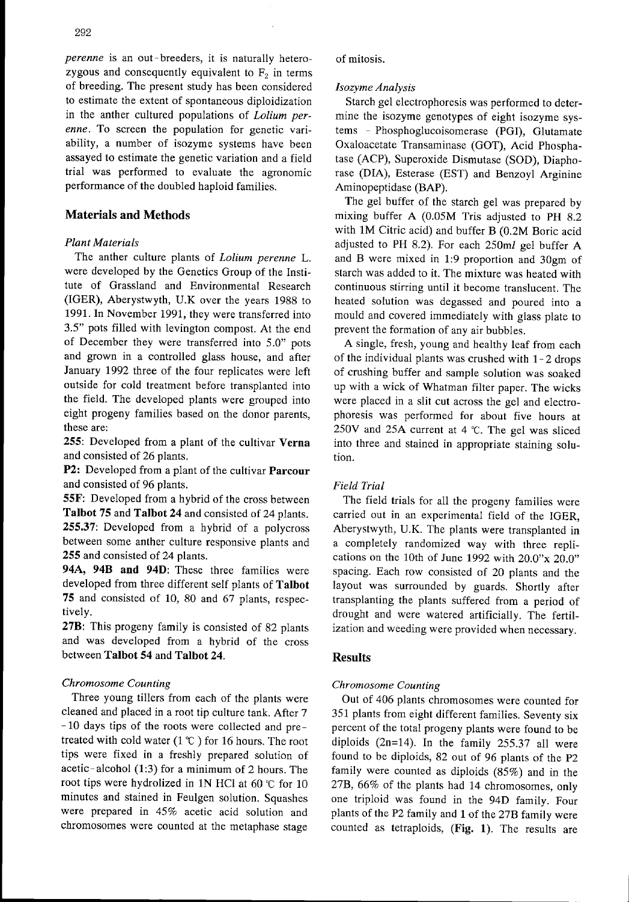enne. To screen the population for genetic variability, a number of isozyme systems have been assayed to estimate the genetic variation and a field trial was perfonred to evaluate the agronomic performance of the doubled haploid families.

# Materials and Methods

# Plant Materials

The anther culture plants of Lolium perenne L. were developed by the Genetics Group of the Institute of Grassland and Environmental Research (IGER), Aberystwyth, U.K over the years 1988 to 1991. In November 1991, they were transferred into 3.5" pots filled with levington compost. At the end of December they were transferred into 5.0" pots and grown in a controlled glass house, and after January 1992 three of the four replicates were left outside for cold treatment before transplanted into the field. The developed plants were grouped into eight progeny families based on the donor parents, these are:

255: Developed from a plant of the cultivar Verna and consisted of 26 plants.

**P2:** Developed from a plant of the cultivar **Parcour** and consisted of 96 plants.

55F: Developed from a hybrid of the cross between Talbot 75 and Talbot 24 and consisted of 24 plants. 255.37: Developed from a hybrid of a polycross between some anther culture responsive plants and 255 and consisted of 24 plants.

94A, 94B and 94D: These three families were developed from three different self plants of Talbot 75 and consisted of 10, 80 and 67 plants, respectively.

27B: This progeny family is consisted of 82 plants and was developed from a hybrid of the cross between Talbot 54 and Talbot 24.

# Chromosome Counting

Three young tillers from each of the plants were cleaned and placed in a root tip culture tank. After 7 - 10 days tips of the roots were collected and pretreated with cold water (1  $\degree$  ) for 16 hours. The root tips were fixed in a freshly prepared solution of acetic-alcohol  $(1:3)$  for a minimum of 2 hours. The root tips were hydrolized in 1N HCl at 60  $\degree$ C for 10 minutes and stained in Feulgen solution. Squashes were prepared in 45% acetic acid solution and chromosomes were counted at the metaphase stage

#### of mitosis.

### Isozyme Analysis

Starch gel electrophoresis was performed to determine the isozyme genotypes of eight isozyme systems - Phosphoglucoisomerase (PGI), Glutamate Oxaloacetate Transaminase (GOT), Acid Phosphatase (ACP), Superoxide Dismutase (SOD), Diaphorase (DIA), Esterase (EST) and Benzoyl Arginine Aminopeptidase (BAP).

The gel buffer of the starch gel was prepared by mixing buffer A (O.05M Tris adjusted to PH 8.2 with IM Citric acid) and buffer B (0.2M Boric acid adjusted to PH 8.2). For each 250ml gel buffer A and B were mixed in 1:9 proportion and 30gm of starch was added to it. The mixture was heated with continuous stirring until it become translucent. The heated solution was degassed and poured into a mould and covered immediately with glass plate to prevent the formation of any air bubbles.

A single, fresh, young and healthy leaf from each of the individual plants was crushed with  $1-2$  drops of crushing buffer and sample solution was soaked up with a wick of Whatman filter paper. The wicks were placed in a slit cut across the gel and electrophoresis was performed for about five hours at 250V and 25A current at 4 'C. The gel was sliced into three and stained in appropriate staining solution.

# Field Trial

The field trials for all the progeny families were carried out in an experimental field of the IGER, Aberystwyth, U.K. The plants were transplanted in a completely randomized way with three replications on the 10th of June 1992 with 20.0"x 20.0" spacing. Each row consisted of 20 plants and the layout was surrounded by guards. Shortly after transplanting the plants suffered from a period of drought and were watered artificially. The fertilization and weeding were provided when necessary.

# Results

# Chromosome Counting

Out of 406 plants chromosomes were counted for 351 plants from eight different families. Seventy six percent of the total progeny plants were found to be diploids  $(2n=14)$ . In the family 255.37 all were found to be diploids, 82 out of 96 plants of the P2 family were counted as diploids (85%) and in the 27B, 66% of the plants had 14 chromosomes, only one triploid was found in the 94D family. Four plants of the P2 family and Iof the 27B family were counted as tetraploids, (Fig. 1). The results are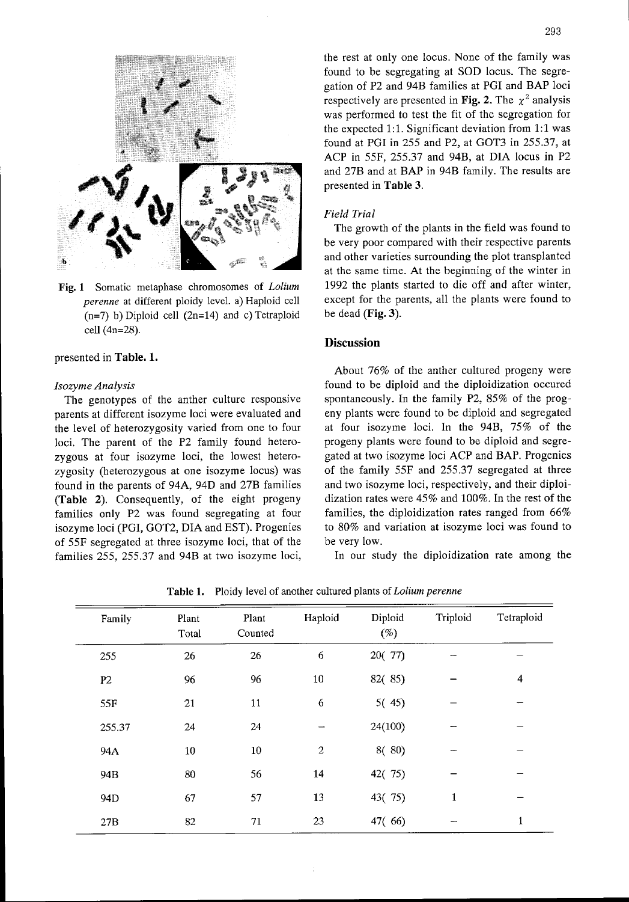

Fig. I Somatic metaphase chromosomes of Lolium perenne at different ploidy level. a) Haploid cell  $(n=7)$  b) Diploid cell  $(2n=14)$  and c) Tetraploid cell (4n=28).

#### presented in Table. 1.

#### Isozyme Analysis

The genotypes of the anther culture responsive parents at different isozyme loci were evaluated and the level of heterozygosity varied from one to four loci. The parent of the P2 family found heterozygous at four isozyme loci, the lowest heterozygosity (heterozygous at one isozyme locus) was found in the parents of 94A, 94D and 27B families (Table 2). Consequently, of the eight progeny families only P2 was found segregating at four isozyme loci (PGI. GOT2, DIA and EST). Progenies of 55F segregated at three isozyme loci, that of the families 255, 255.37 and 94B at two isozyme loci,

the rest at only one locus. None of the family was found to be segregating at SOD Iocus. The segregation of P2 and 94B families at PGI and BAP Ioci respectively are presented in Fig. 2. The  $x^2$  analysis was performed to test the fit of the segregation for the expected 1:1. Significant deviation from 1:1 was found at PGI in 255 and P2, at GOT3 in 255.37, at ACP in 55F, 255.37 and 94B, at DIA Iocus in P2 and 27B and at BAP in 94B family. The results are presented in Table 3.

#### Field Trial

The growth of the plants in the field was found to be very poor compared with their respective parents and other varieties surrounding the plot transplanted at the same time. At the beginning of the winter in 1992 the plants started to die off and after winter, except for the parents, all the plants were found to be dead (Fig. 3).

#### **Discussion**

About 76% of the anther cultured progeny were found to be diploid and the diploidization occured spontaneously. In the family P2, 85% of the progeny plants were found to be diploid and segregated at four isozyme loci. In the 94B, 75% of the progeny plants were found to be diploid and segregated at two isozyme loci ACP and BAP. Progenies of the family 55F and 255.37 segregated at three and two isozyme loci, respectively, and their diploidization rates were 45% and 100%. In the rest of the families, the diploidization rates ranged from  $66\%$ to 80% and variation at isozyme loci was found to be very low.

In our study the diploidization rate among the

| Family         | Plant<br>Total | Plant<br>Counted | Haploid          | Diploid<br>$(\%)$ | Triploid     | Tetraploid   |
|----------------|----------------|------------------|------------------|-------------------|--------------|--------------|
| 255            | 26             | 26               | 6                | 20(77)            |              |              |
| P <sub>2</sub> | 96             | 96               | 10               | 82(85)            |              | 4            |
| 55F            | 21             | 11               | 6                | 5(45)             |              |              |
| 255.37         | 24             | 24               |                  | 24(100)           |              |              |
| 94A            | $10\,$         | $10\,$           | $\boldsymbol{2}$ | 8(80)             |              |              |
| 94B            | 80             | 56               | 14               | 42(75)            |              |              |
| 94D            | 67             | 57               | 13               | 43(75)            | $\mathbf{1}$ |              |
| 27B            | 82             | 71               | 23               | 47(66)            |              | $\mathbf{1}$ |

Table 1. Ploidy level of another cultured plants of Lolium perenne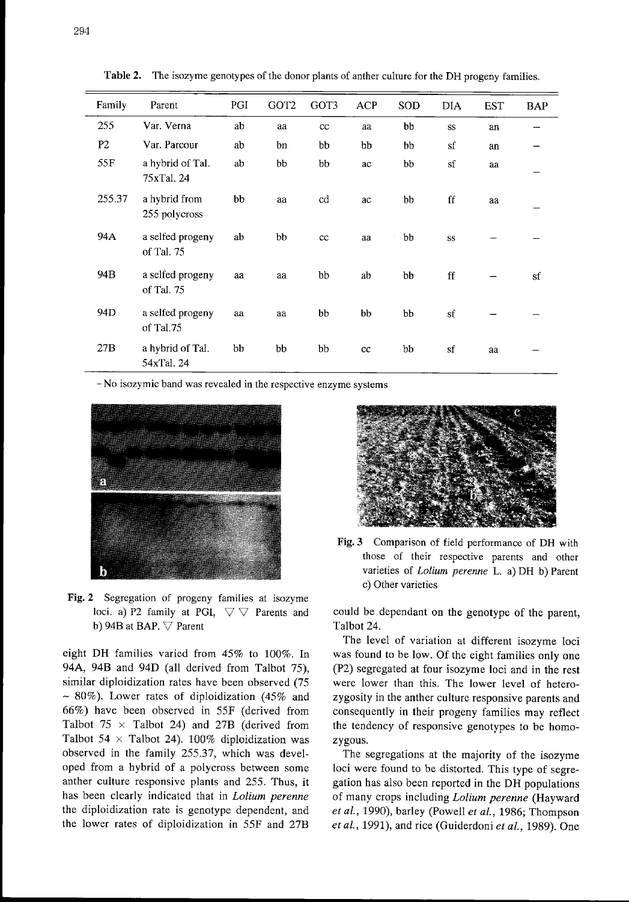| Family          | Parent                         | PGI | GOT2 | GOT3 | ACP | SOD | <b>DIA</b>          | <b>EST</b> | <b>BAP</b> |
|-----------------|--------------------------------|-----|------|------|-----|-----|---------------------|------------|------------|
| 255             | Var. Verna                     | ab  | aa   | cc   | aa  | bb  | SS                  | an         |            |
| P <sub>2</sub>  | Var. Parcour                   | ab  | bn   | bb   | bb  | bb  | sf                  | an         |            |
| 55F             | a hybrid of Tal.<br>75xTal, 24 | ab  | bb   | bb   | ac  | bb  | $\operatorname{sf}$ | aa         |            |
| 255.37          | a hybrid from<br>255 polycross | bb  | aa   | cd   | ac  | bb  | ff                  | aa         |            |
| 94A             | a selfed progeny<br>of Tal. 75 | ab  | bb   | cc   | aa  | bb  | SS                  |            |            |
| 94B             | a selfed progeny<br>of Tal. 75 | aa  | aa   | bb   | ab  | bb  | ff                  |            | sf         |
| 94 <sub>D</sub> | a selfed progeny<br>of Tal.75  | aa  | aa   | bb   | bb  | bb  | sf                  |            |            |
| 27B             | a hybrid of Tal.<br>54xTal. 24 | bb  | bb   | bb   | cc  | bb  | sf                  | aa         |            |

Table 2. The isozyme genotypes of the donor plants of anther culture for the DH progeny families.

- No isozymic band was revealed in the respective enzyme systems



Fig. 2 Segregation of progeny families at isozyme loci. a) P2 family at PGI,  $\triangledown \triangledown$  Parents and b) 94B at BAP.  $\nabla$  Parent

eight DH families varied from 45% to 100%. In 94A, 94B and 94D (all derived from Talbot 75), similar diploidization rates have been observed (75 - 80%). Lower rates of diploidization (45% and 66%) have been observed in 55F (derived from Talbot  $75 \times$  Talbot 24) and 27B (derived from Talbot 54  $\times$  Talbot 24). 100% diploidization was observed in the family 255.37, which was developed from a hybrid of a polycross between some anther culture responsive plants and 255. Thus, it has been clearly indicated that in *Lolium perenne* the diploidization rate is genotype dependent, and the lower rates of diploidization in 55F and 27B



Fig. 3 Comparison of field performance of DH with those of their respective parents and other varieties of Lolium perenne L, a) DH b) Parent c) Other varieties

could be dependant on the genotype of the parent, Talbot 24.

The level of variation at different isozyme loci was found to be low. Of the eight families only one (P2) segregated at four isozyme loci and in the rest were lower than this. The lower level of heterozygosity in the anther culture responsive parents and consequently in their progeny families may reflect the tendency of responsive genotypes to be homozygous.

The segregations at the majority of the isozyme loci were found to be distorted. This type of segregation has also been reported in the DH populations of many crops including Lolium perenne (Hayward et al., 1990), barley (Powell et al., 1986; Thompson et al., 1991), and rice (Guiderdoni et al., 1989). One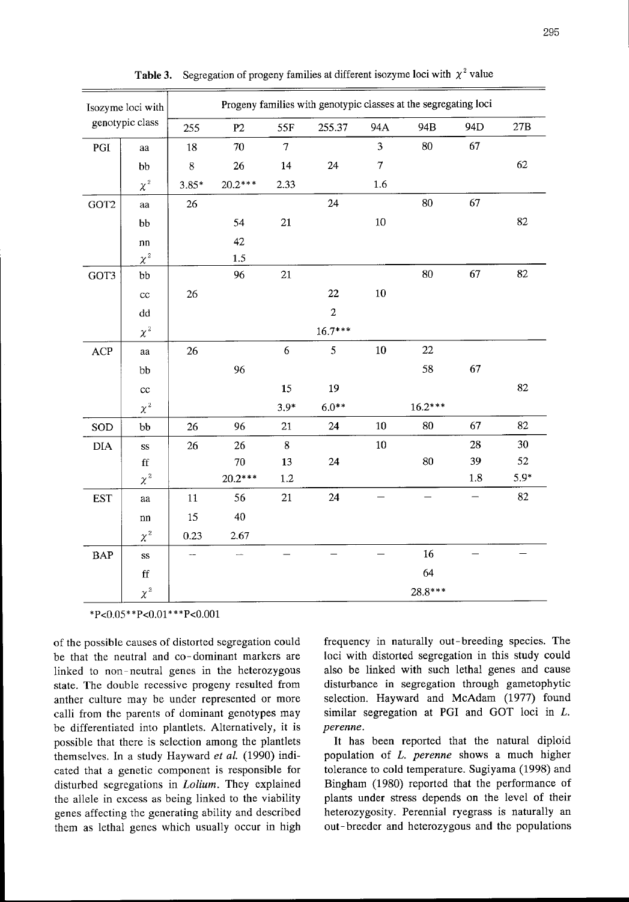| Isozyme loci with<br>genotypic class |                        | Progeny families with genotypic classes at the segregating loci |           |                |                |                         |           |     |                |  |
|--------------------------------------|------------------------|-----------------------------------------------------------------|-----------|----------------|----------------|-------------------------|-----------|-----|----------------|--|
|                                      |                        | 255                                                             | P2        | 55F            | 255.37         | 94A                     | 94B       | 94D | $27\mathrm{B}$ |  |
| PGI                                  | aa                     | 18                                                              | 70        | $\overline{7}$ |                | $\overline{\mathbf{3}}$ | 80        | 67  |                |  |
|                                      | bb                     | $8\,$                                                           | 26        | 14             | 24             | $\boldsymbol{7}$        |           |     | 62             |  |
|                                      | $\chi^2$               | $3.85*$                                                         | $20.2***$ | 2.33           |                | $1.6\,$                 |           |     |                |  |
| GOT2                                 | aa                     | 26                                                              |           |                | 24             |                         | 80        | 67  |                |  |
|                                      | bb                     |                                                                 | 54        | 21             |                | $10\,$                  |           |     | 82             |  |
|                                      | nn                     |                                                                 | 42        |                |                |                         |           |     |                |  |
|                                      | $\chi^2$               |                                                                 | 1.5       |                |                |                         |           |     |                |  |
| GOT3                                 | bb                     |                                                                 | 96        | 21             |                |                         | 80        | 67  | 82             |  |
|                                      | cc                     | 26                                                              |           |                | 22             | $10\,$                  |           |     |                |  |
|                                      | dd                     |                                                                 |           |                | $\overline{2}$ |                         |           |     |                |  |
|                                      | $\chi^2$               |                                                                 |           |                | $16.7***$      |                         |           |     |                |  |
| ACP                                  | a                      | 26                                                              |           | 6              | 5              | $10\,$                  | 22        |     |                |  |
|                                      | bb                     |                                                                 | 96        |                |                |                         | 58        | 67  |                |  |
|                                      | cc                     |                                                                 |           | 15             | 19             |                         |           |     | 82             |  |
|                                      | $\chi^2$               |                                                                 |           | $3.9*$         | $6.0**$        |                         | $16.2***$ |     |                |  |
| SOD                                  | bb                     | 26                                                              | 96        | 21             | 24             | $10\,$                  | 80        | 67  | 82             |  |
| DIA                                  | $\mathrm{SS}$          | 26                                                              | 26        | 8              |                | $10\,$                  |           | 28  | 30             |  |
|                                      | $\mathbf{f}\mathbf{f}$ |                                                                 | 70        | 13             | 24             |                         | 80        | 39  | 52             |  |
|                                      | $\chi^2$               |                                                                 | $20.2***$ | $1.2\,$        |                |                         |           | 1.8 | $5.9*$         |  |
| <b>EST</b>                           | aa                     | 11                                                              | 56        | 21             | 24             |                         |           | —   | 82             |  |
|                                      | ${\bf nn}$             | 15                                                              | 40        |                |                |                         |           |     |                |  |
|                                      | $\chi^2$               | 0.23                                                            | 2.67      |                |                |                         |           |     |                |  |
| <b>BAP</b>                           | SS                     |                                                                 |           |                |                |                         | 16        |     |                |  |
|                                      | $\mathbf{f}$           |                                                                 |           |                |                |                         | 64        |     |                |  |
|                                      | $\chi^2$               |                                                                 |           |                |                |                         | 28.8***   |     |                |  |

**Table 3.** Segregation of progeny families at different isozyme loci with  $\chi^2$  value

 $*P<0.05**P<0.01***P<0.001$ 

of the possible causes of distorted segregation could be that the neutral and co-dominant markers are linked to non-neutral genes in the heterozygous state. The double recessive progeny resulted from anther culture may be under represented or more calli from the parents of dominant genotypes may be differentiated into plantlets. Alternatively, it is possible that there is selection among the plantlets themselves. In a study Hayward *et al.* (1990) indicated that a genetic component is responsible for disturbed segregations in Lolium. They explained the allele in excess as being linked to the viability genes affecting the generating ability and described them as lethal genes which usually occur in high

frequency in naturally out - breeding species. The loci with distorted segregation in this study could also be linked with such lethal genes and cause disturbance in segregation through gametophytic selection. Hayward and McAdam (1977) found similar segregation at PGI and GOT loci in  $L$ . perenne.

It has been reported that the natural diploid population of L. perenne shows a much higher tolerance to cold temperature. Sugiyama (1998) and Bingham (1980) reported that the performance of plants under stress depends on the level of their heterozygosity. Perennial ryegrass is naturally an out-breeder and heterozygous and the populations